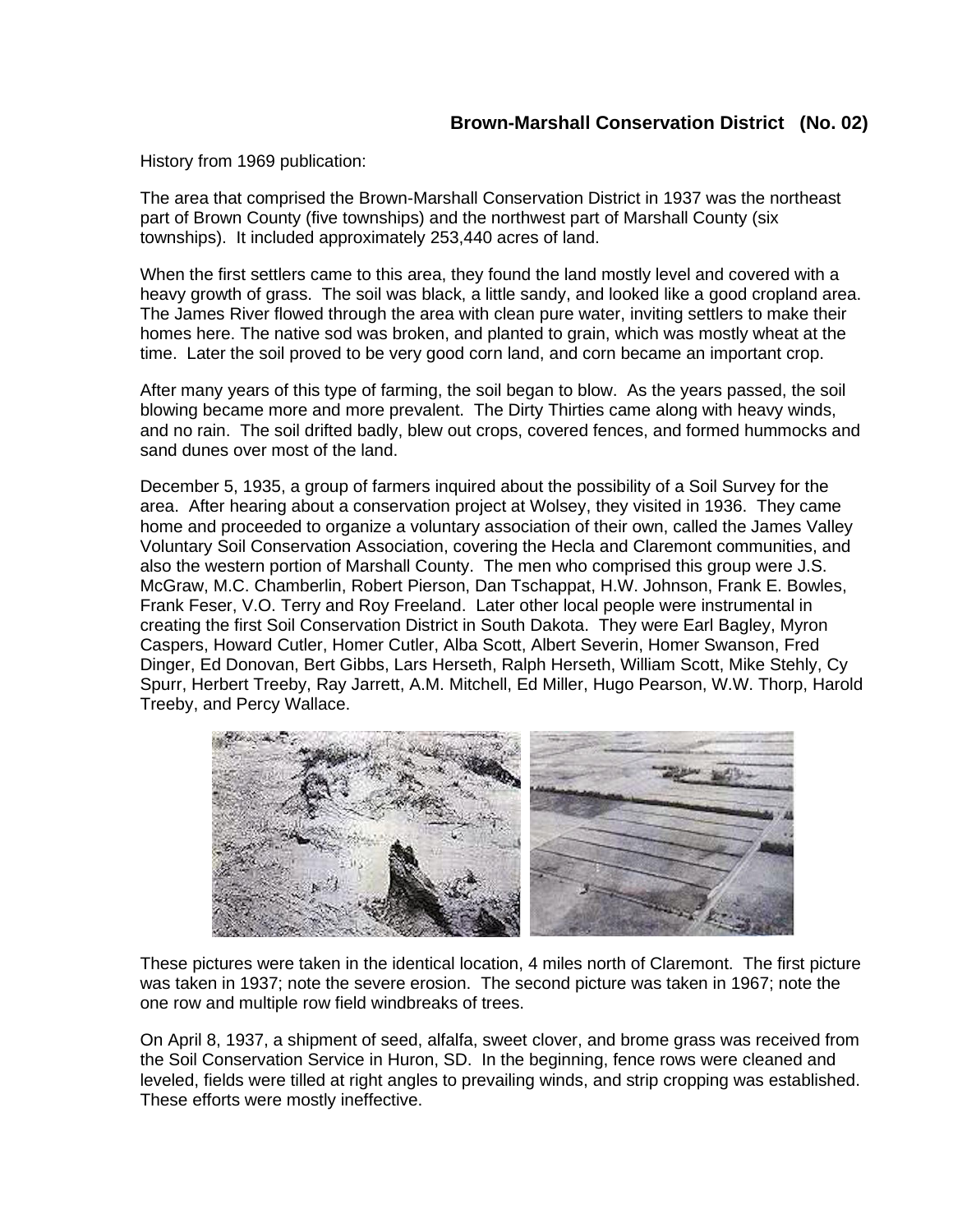History from 1969 publication:

The area that comprised the Brown-Marshall Conservation District in 1937 was the northeast part of Brown County (five townships) and the northwest part of Marshall County (six townships). It included approximately 253,440 acres of land.

When the first settlers came to this area, they found the land mostly level and covered with a heavy growth of grass. The soil was black, a little sandy, and looked like a good cropland area. The James River flowed through the area with clean pure water, inviting settlers to make their homes here. The native sod was broken, and planted to grain, which was mostly wheat at the time. Later the soil proved to be very good corn land, and corn became an important crop.

After many years of this type of farming, the soil began to blow. As the years passed, the soil blowing became more and more prevalent. The Dirty Thirties came along with heavy winds, and no rain. The soil drifted badly, blew out crops, covered fences, and formed hummocks and sand dunes over most of the land.

December 5, 1935, a group of farmers inquired about the possibility of a Soil Survey for the area. After hearing about a conservation project at Wolsey, they visited in 1936. They came home and proceeded to organize a voluntary association of their own, called the James Valley Voluntary Soil Conservation Association, covering the Hecla and Claremont communities, and also the western portion of Marshall County. The men who comprised this group were J.S. McGraw, M.C. Chamberlin, Robert Pierson, Dan Tschappat, H.W. Johnson, Frank E. Bowles, Frank Feser, V.O. Terry and Roy Freeland. Later other local people were instrumental in creating the first Soil Conservation District in South Dakota. They were Earl Bagley, Myron Caspers, Howard Cutler, Homer Cutler, Alba Scott, Albert Severin, Homer Swanson, Fred Dinger, Ed Donovan, Bert Gibbs, Lars Herseth, Ralph Herseth, William Scott, Mike Stehly, Cy Spurr, Herbert Treeby, Ray Jarrett, A.M. Mitchell, Ed Miller, Hugo Pearson, W.W. Thorp, Harold Treeby, and Percy Wallace.



These pictures were taken in the identical location, 4 miles north of Claremont. The first picture was taken in 1937; note the severe erosion. The second picture was taken in 1967; note the one row and multiple row field windbreaks of trees.

On April 8, 1937, a shipment of seed, alfalfa, sweet clover, and brome grass was received from the Soil Conservation Service in Huron, SD. In the beginning, fence rows were cleaned and leveled, fields were tilled at right angles to prevailing winds, and strip cropping was established. These efforts were mostly ineffective.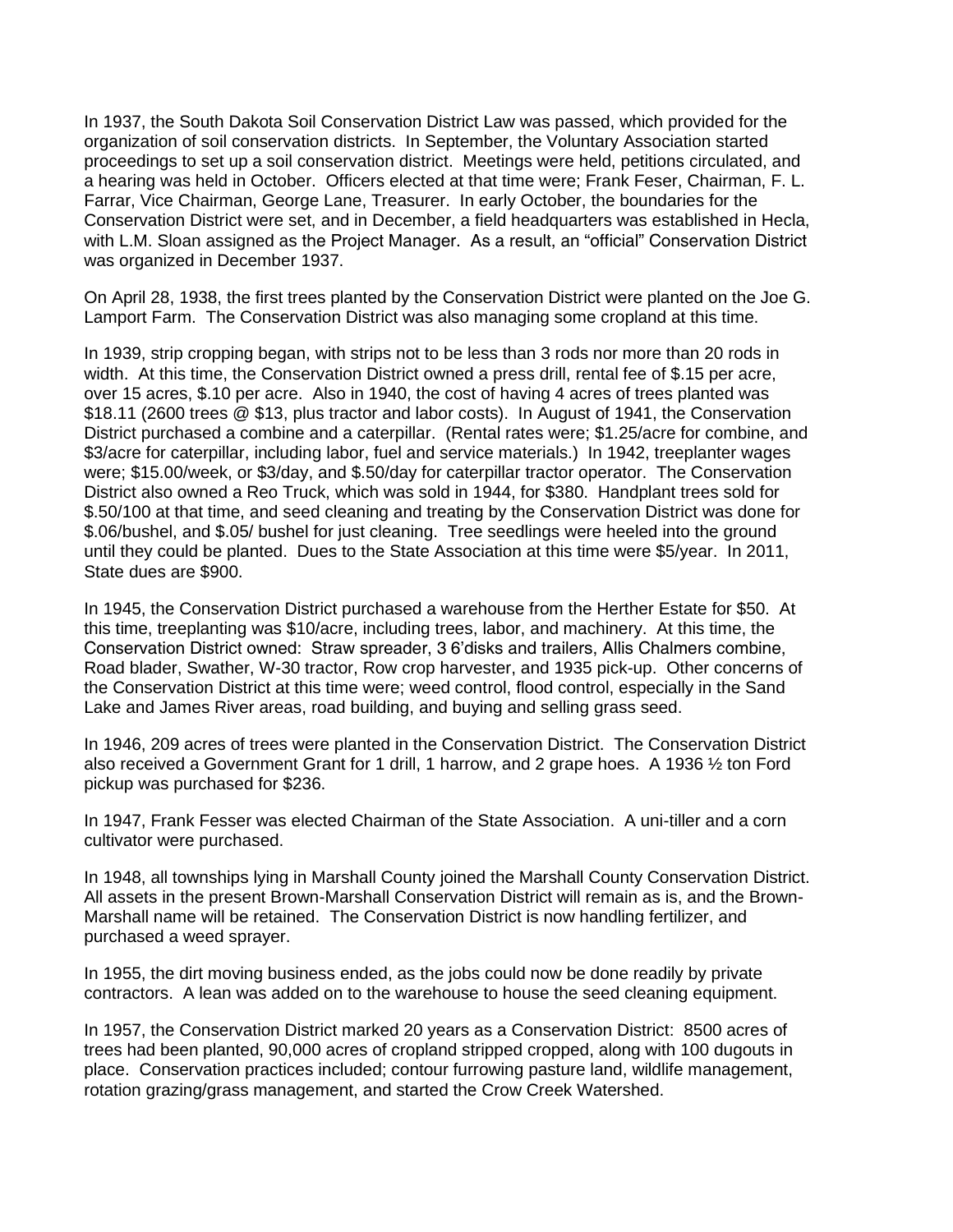In 1937, the South Dakota Soil Conservation District Law was passed, which provided for the organization of soil conservation districts. In September, the Voluntary Association started proceedings to set up a soil conservation district. Meetings were held, petitions circulated, and a hearing was held in October. Officers elected at that time were; Frank Feser, Chairman, F. L. Farrar, Vice Chairman, George Lane, Treasurer. In early October, the boundaries for the Conservation District were set, and in December, a field headquarters was established in Hecla, with L.M. Sloan assigned as the Project Manager. As a result, an "official" Conservation District was organized in December 1937.

On April 28, 1938, the first trees planted by the Conservation District were planted on the Joe G. Lamport Farm. The Conservation District was also managing some cropland at this time.

In 1939, strip cropping began, with strips not to be less than 3 rods nor more than 20 rods in width. At this time, the Conservation District owned a press drill, rental fee of \$.15 per acre, over 15 acres, \$.10 per acre. Also in 1940, the cost of having 4 acres of trees planted was \$18.11 (2600 trees @ \$13, plus tractor and labor costs). In August of 1941, the Conservation District purchased a combine and a caterpillar. (Rental rates were; \$1.25/acre for combine, and \$3/acre for caterpillar, including labor, fuel and service materials.) In 1942, treeplanter wages were; \$15.00/week, or \$3/day, and \$.50/day for caterpillar tractor operator. The Conservation District also owned a Reo Truck, which was sold in 1944, for \$380. Handplant trees sold for \$.50/100 at that time, and seed cleaning and treating by the Conservation District was done for \$.06/bushel, and \$.05/ bushel for just cleaning. Tree seedlings were heeled into the ground until they could be planted. Dues to the State Association at this time were \$5/year. In 2011, State dues are \$900.

In 1945, the Conservation District purchased a warehouse from the Herther Estate for \$50. At this time, treeplanting was \$10/acre, including trees, labor, and machinery. At this time, the Conservation District owned: Straw spreader, 3 6'disks and trailers, Allis Chalmers combine, Road blader, Swather, W-30 tractor, Row crop harvester, and 1935 pick-up. Other concerns of the Conservation District at this time were; weed control, flood control, especially in the Sand Lake and James River areas, road building, and buying and selling grass seed.

In 1946, 209 acres of trees were planted in the Conservation District. The Conservation District also received a Government Grant for 1 drill, 1 harrow, and 2 grape hoes. A 1936 ½ ton Ford pickup was purchased for \$236.

In 1947, Frank Fesser was elected Chairman of the State Association. A uni-tiller and a corn cultivator were purchased.

In 1948, all townships lying in Marshall County joined the Marshall County Conservation District. All assets in the present Brown-Marshall Conservation District will remain as is, and the Brown-Marshall name will be retained. The Conservation District is now handling fertilizer, and purchased a weed sprayer.

In 1955, the dirt moving business ended, as the jobs could now be done readily by private contractors. A lean was added on to the warehouse to house the seed cleaning equipment.

In 1957, the Conservation District marked 20 years as a Conservation District: 8500 acres of trees had been planted, 90,000 acres of cropland stripped cropped, along with 100 dugouts in place. Conservation practices included; contour furrowing pasture land, wildlife management, rotation grazing/grass management, and started the Crow Creek Watershed.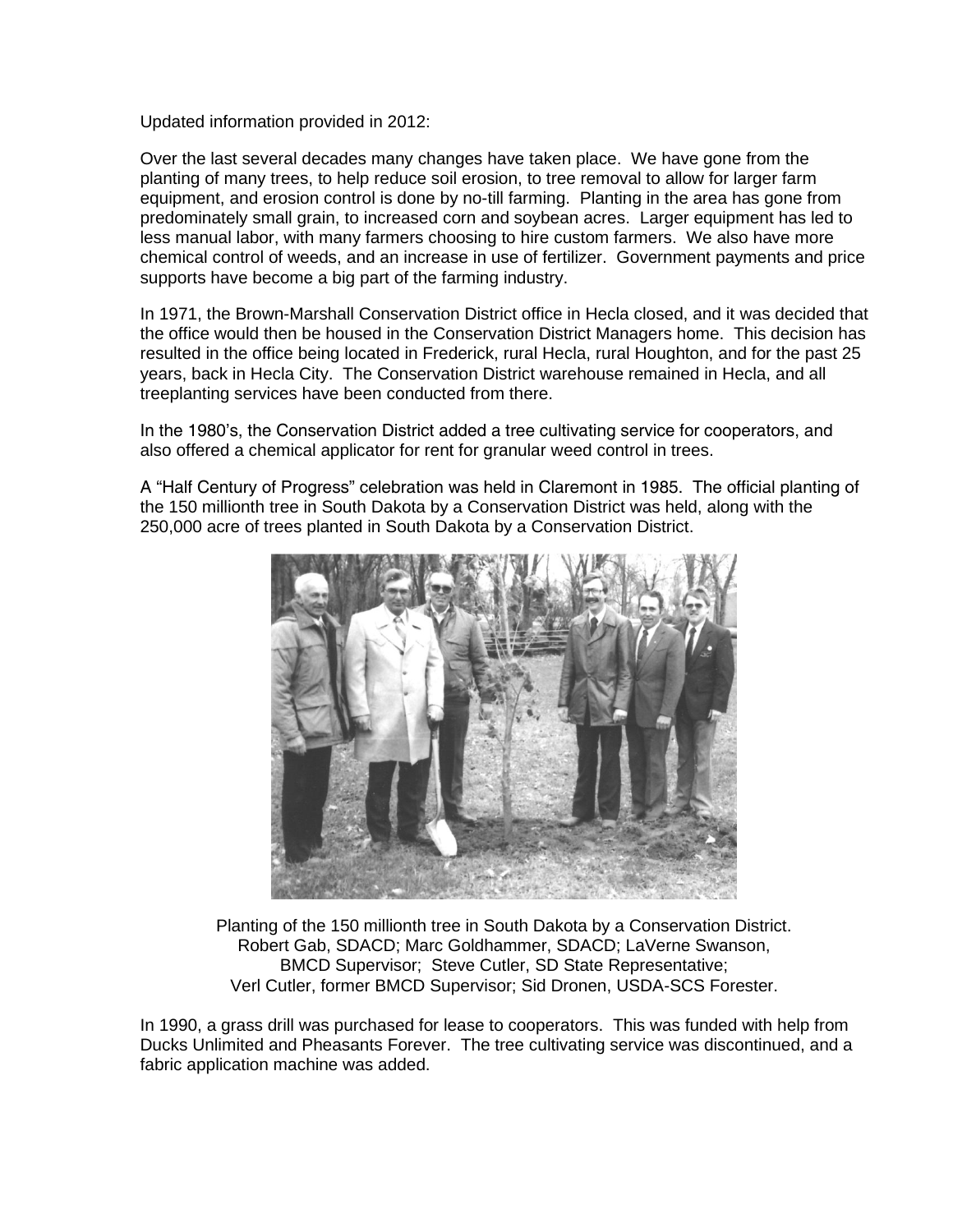Updated information provided in 2012:

Over the last several decades many changes have taken place. We have gone from the planting of many trees, to help reduce soil erosion, to tree removal to allow for larger farm equipment, and erosion control is done by no-till farming. Planting in the area has gone from predominately small grain, to increased corn and soybean acres. Larger equipment has led to less manual labor, with many farmers choosing to hire custom farmers. We also have more chemical control of weeds, and an increase in use of fertilizer. Government payments and price supports have become a big part of the farming industry.

In 1971, the Brown-Marshall Conservation District office in Hecla closed, and it was decided that the office would then be housed in the Conservation District Managers home. This decision has resulted in the office being located in Frederick, rural Hecla, rural Houghton, and for the past 25 years, back in Hecla City. The Conservation District warehouse remained in Hecla, and all treeplanting services have been conducted from there.

In the 1980's, the Conservation District added a tree cultivating service for cooperators, and also offered a chemical applicator for rent for granular weed control in trees.

A "Half Century of Progress" celebration was held in Claremont in 1985. The official planting of the 150 millionth tree in South Dakota by a Conservation District was held, along with the 250,000 acre of trees planted in South Dakota by a Conservation District.



Planting of the 150 millionth tree in South Dakota by a Conservation District. Robert Gab, SDACD; Marc Goldhammer, SDACD; LaVerne Swanson, BMCD Supervisor; Steve Cutler, SD State Representative; Verl Cutler, former BMCD Supervisor; Sid Dronen, USDA-SCS Forester.

In 1990, a grass drill was purchased for lease to cooperators. This was funded with help from Ducks Unlimited and Pheasants Forever. The tree cultivating service was discontinued, and a fabric application machine was added.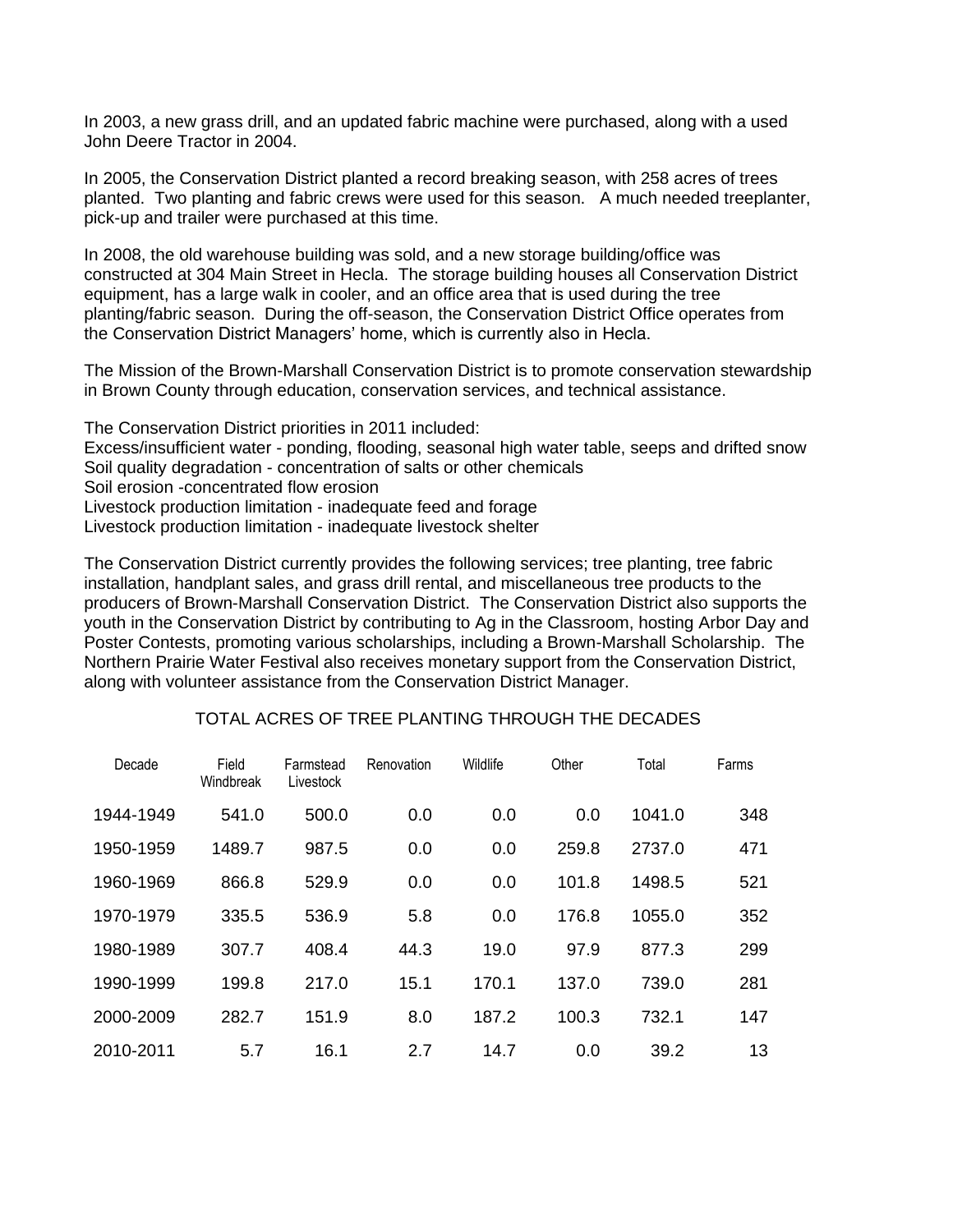In 2003, a new grass drill, and an updated fabric machine were purchased, along with a used John Deere Tractor in 2004.

In 2005, the Conservation District planted a record breaking season, with 258 acres of trees planted. Two planting and fabric crews were used for this season. A much needed treeplanter, pick-up and trailer were purchased at this time.

In 2008, the old warehouse building was sold, and a new storage building/office was constructed at 304 Main Street in Hecla. The storage building houses all Conservation District equipment, has a large walk in cooler, and an office area that is used during the tree planting/fabric season. During the off-season, the Conservation District Office operates from the Conservation District Managers' home, which is currently also in Hecla.

The Mission of the Brown-Marshall Conservation District is to promote conservation stewardship in Brown County through education, conservation services, and technical assistance.

The Conservation District priorities in 2011 included: Excess/insufficient water - ponding, flooding, seasonal high water table, seeps and drifted snow Soil quality degradation - concentration of salts or other chemicals Soil erosion -concentrated flow erosion Livestock production limitation - inadequate feed and forage Livestock production limitation - inadequate livestock shelter

The Conservation District currently provides the following services; tree planting, tree fabric installation, handplant sales, and grass drill rental, and miscellaneous tree products to the producers of Brown-Marshall Conservation District. The Conservation District also supports the youth in the Conservation District by contributing to Ag in the Classroom, hosting Arbor Day and Poster Contests, promoting various scholarships, including a Brown-Marshall Scholarship. The Northern Prairie Water Festival also receives monetary support from the Conservation District, along with volunteer assistance from the Conservation District Manager.

## TOTAL ACRES OF TREE PLANTING THROUGH THE DECADES

| Decade    | Field<br>Windbreak | Farmstead<br>Livestock | Renovation | Wildlife | Other | Total  | Farms |
|-----------|--------------------|------------------------|------------|----------|-------|--------|-------|
| 1944-1949 | 541.0              | 500.0                  | 0.0        | 0.0      | 0.0   | 1041.0 | 348   |
| 1950-1959 | 1489.7             | 987.5                  | 0.0        | 0.0      | 259.8 | 2737.0 | 471   |
| 1960-1969 | 866.8              | 529.9                  | 0.0        | 0.0      | 101.8 | 1498.5 | 521   |
| 1970-1979 | 335.5              | 536.9                  | 5.8        | 0.0      | 176.8 | 1055.0 | 352   |
| 1980-1989 | 307.7              | 408.4                  | 44.3       | 19.0     | 97.9  | 877.3  | 299   |
| 1990-1999 | 199.8              | 217.0                  | 15.1       | 170.1    | 137.0 | 739.0  | 281   |
| 2000-2009 | 282.7              | 151.9                  | 8.0        | 187.2    | 100.3 | 732.1  | 147   |
| 2010-2011 | 5.7                | 16.1                   | 2.7        | 14.7     | 0.0   | 39.2   | 13    |